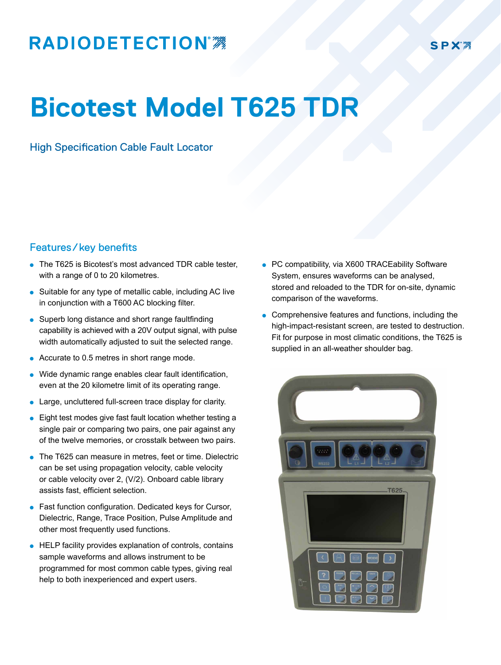## **RADIODETECTION®**

SPX'<sub>2</sub>

## **Bicotest Model T625 TDR**

High Specification Cable Fault Locator

## Features/key benefits

- The T625 is Bicotest's most advanced TDR cable tester, with a range of 0 to 20 kilometres.
- Suitable for any type of metallic cable, including AC live in conjunction with a T600 AC blocking filter.
- Superb long distance and short range faultfinding capability is achieved with a 20V output signal, with pulse width automatically adjusted to suit the selected range.
- Accurate to 0.5 metres in short range mode.
- Wide dynamic range enables clear fault identification, even at the 20 kilometre limit of its operating range.
- Large, uncluttered full-screen trace display for clarity.
- Eight test modes give fast fault location whether testing a single pair or comparing two pairs, one pair against any of the twelve memories, or crosstalk between two pairs.
- The T625 can measure in metres, feet or time. Dielectric can be set using propagation velocity, cable velocity or cable velocity over 2, (V/2). Onboard cable library assists fast, efficient selection.
- **.** Fast function configuration. Dedicated keys for Cursor, Dielectric, Range, Trace Position, Pulse Amplitude and other most frequently used functions.
- **.** HELP facility provides explanation of controls, contains sample waveforms and allows instrument to be programmed for most common cable types, giving real help to both inexperienced and expert users.
- PC compatibility, via X600 TRACEability Software System, ensures waveforms can be analysed, stored and reloaded to the TDR for on-site, dynamic comparison of the waveforms.
- $\bullet$  Comprehensive features and functions, including the high-impact-resistant screen, are tested to destruction. Fit for purpose in most climatic conditions, the T625 is supplied in an all-weather shoulder bag.